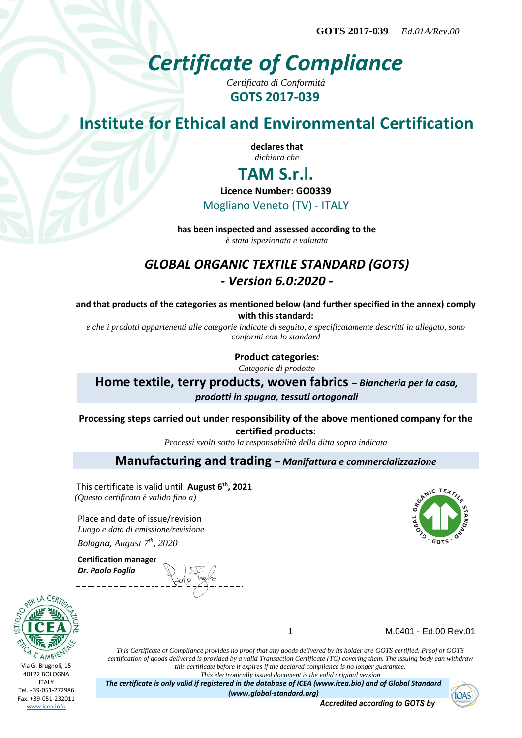**GOTS 2017-039** *Ed.01A/Rev.00*

# *Certificate of Compliance*

*Certificato di Conformità* **GOTS 2017-039**

# **Institute for Ethical and Environmental Certification**

**declares that** *dichiara che*

## **TAM S.r.l.**

**Licence Number: GO0339**

Mogliano Veneto (TV) - ITALY

**has been inspected and assessed according to the** *è stata ispezionata e valutata*

### *GLOBAL ORGANIC TEXTILE STANDARD (GOTS) - Version 6.0:2020 -*

**and that products of the categories as mentioned below (and further specified in the annex) comply with this standard:**

*e che i prodotti appartenenti alle categorie indicate di seguito, e specificatamente descritti in allegato, sono conformi con lo standard*

> **Product categories:** *Categorie di prodotto*

**Home textile, terry products, woven fabrics** *– Biancheria per la casa, prodotti in spugna, tessuti ortogonali*

**Processing steps carried out under responsibility of the above mentioned company for the certified products:**

*Processi svolti sotto la responsabilità della ditta sopra indicata*

### **Manufacturing and trading** *– Manifattura e commercializzazione*

This certificate is valid until: **August 6th, 2021** *(Questo certificato è valido fino a)*

Place and date of issue/revision *Luogo e data di emissione/revisione Bologna, August 7 th, 2020*

**Certification manager** *Dr. Paolo Foglia*



1 M.0401 - Ed.00 Rev.01

*This Certificate of Compliance provides no proof that any goods delivered by its holder are GOTS certified. Proof of GOTS certification of goods delivered is provided by a valid Transaction Certificate (TC) covering them. The issuing body can withdraw this certificate before it expires if the declared compliance is no longer guarantee. This electronically issued document is the valid original version*

*The certificate is only valid if registered in the database of ICEA (www.icea.bio) and of Global Standard (www.global-standard.org)*



*Accredited according to GOTS by*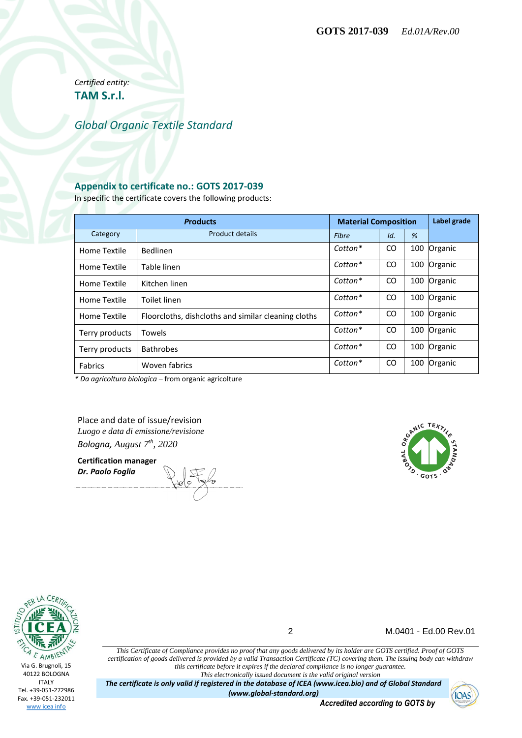*Certified entity:* **TAM S.r.l.**

#### *Global Organic Textile Standard*

#### **Appendix to certificate no.: GOTS 2017-039**

In specific the certificate covers the following products:

| <b>Products</b> |                                                     | <b>Material Composition</b> |               |     | Label grade |
|-----------------|-----------------------------------------------------|-----------------------------|---------------|-----|-------------|
| Category        | Product details                                     | Fibre                       | Id.           | %   |             |
| Home Textile    | Bedlinen                                            | Cotton*                     | CO.           | 100 | Organic     |
| Home Textile    | Table linen                                         | $Cotton*$                   | <sub>CO</sub> | 100 | Organic     |
| Home Textile    | Kitchen linen                                       | Cotton*                     | <sub>CO</sub> | 100 | Organic     |
| Home Textile    | Toilet linen                                        | $Cotton*$                   | <sub>CO</sub> | 100 | Organic     |
| Home Textile    | Floorcloths, dishcloths and similar cleaning cloths | Cotton*                     | <sub>CO</sub> | 100 | Organic     |
| Terry products  | <b>Towels</b>                                       | $Cotton*$                   | <sub>CO</sub> | 100 | Organic     |
| Terry products  | <b>Bathrobes</b>                                    | Cotton*                     | <sub>CO</sub> | 100 | Organic     |
| <b>Fabrics</b>  | Woven fabrics                                       | Cotton*                     | <sub>CO</sub> | 100 | Organic     |

*\* Da agricoltura biologica* – from organic agricolture

Place and date of issue/revision *Luogo e data di emissione/revisione Bologna, August 7 th, 2020*

**Certification manager** *Dr. Paolo Foglia*





2 M.0401 - Ed.00 Rev.01

*This Certificate of Compliance provides no proof that any goods delivered by its holder are GOTS certified. Proof of GOTS certification of goods delivered is provided by a valid Transaction Certificate (TC) covering them. The issuing body can withdraw this certificate before it expires if the declared compliance is no longer guarantee. This electronically issued document is the valid original version*

*The certificate is only valid if registered in the database of ICEA (www.icea.bio) and of Global Standard (www.global-standard.org)*

**IOAS** 

*Accredited according to GOTS by*